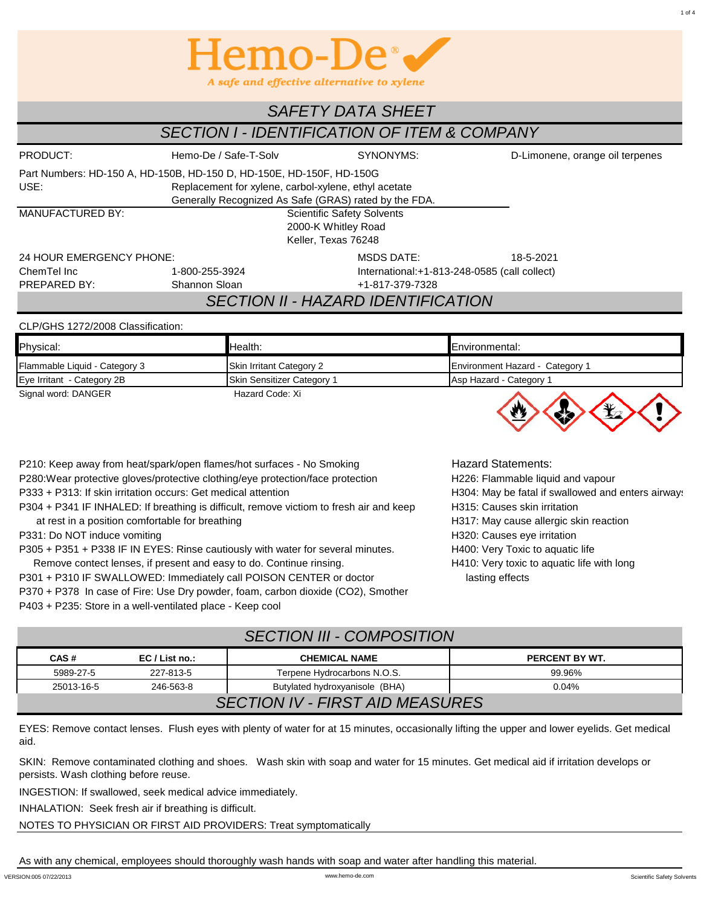

## *SAFETY DATA SHEET*

# *SECTION I - IDENTIFICATION OF ITEM & COMPANY*

| PRODUCT:                                                             | Hemo-De / Safe-T-Solv<br>SYNONYMS:                    |                                               | D-Limonene, orange oil terpenes |  |  |  |
|----------------------------------------------------------------------|-------------------------------------------------------|-----------------------------------------------|---------------------------------|--|--|--|
| Part Numbers: HD-150 A, HD-150B, HD-150 D, HD-150E, HD-150F, HD-150G |                                                       |                                               |                                 |  |  |  |
| USE:                                                                 | Replacement for xylene, carbol-xylene, ethyl acetate  |                                               |                                 |  |  |  |
|                                                                      | Generally Recognized As Safe (GRAS) rated by the FDA. |                                               |                                 |  |  |  |
| <b>MANUFACTURED BY:</b>                                              | <b>Scientific Safety Solvents</b>                     |                                               |                                 |  |  |  |
|                                                                      |                                                       |                                               |                                 |  |  |  |
| Keller, Texas 76248                                                  |                                                       |                                               |                                 |  |  |  |
| 24 HOUR EMERGENCY PHONE:                                             | 18-5-2021                                             |                                               |                                 |  |  |  |
| ChemTel Inc                                                          | 1-800-255-3924                                        | International: +1-813-248-0585 (call collect) |                                 |  |  |  |
| PREPARED BY:                                                         | Shannon Sloan                                         | +1-817-379-7328                               |                                 |  |  |  |
| <b>SECTION II - HAZARD IDENTIFICATION</b>                            |                                                       |                                               |                                 |  |  |  |

#### CLP/GHS 1272/2008 Classification:

| Physical:                     | Health:                           | Environmental:                  |  |  |
|-------------------------------|-----------------------------------|---------------------------------|--|--|
| Flammable Liquid - Category 3 | Skin Irritant Category 2          | Environment Hazard - Category 1 |  |  |
| Eye Irritant - Category 2B    | <b>Skin Sensitizer Category 1</b> | Asp Hazard - Category 1         |  |  |
| Signal word: DANGER           | Hazard Code: Xi                   |                                 |  |  |



P210: Keep away from heat/spark/open flames/hot surfaces - No Smoking Hazard Statements: P280:Wear protective gloves/protective clothing/eye protection/face protection H226: Flammable liquid and vapour P333 + P313: If skin irritation occurs: Get medical attention H304: May be fatal if swallowed and enters airways P304 + P341 IF INHALED: If breathing is difficult, remove victiom to fresh air and keep H315: Causes skin irritation at rest in a position comfortable for breathing example of the H317: May cause allergic skin reaction P331: Do NOT induce vomiting example and the state of the H320: Causes eye irritation has been provided by the H320: Causes eye irritation P305 + P351 + P338 IF IN EYES: Rinse cautiously with water for several minutes. H400: Very Toxic to aquatic life

Remove contect lenses, if present and easy to do. Continue rinsing. H410: Very toxic to aquatic life with long P301 + P310 IF SWALLOWED: Immediately call POISON CENTER or doctor lasting effects P370 + P378 In case of Fire: Use Dry powder, foam, carbon dioxide (CO2), Smother P403 + P235: Store in a well-ventilated place - Keep cool

## *SECTION III - COMPOSITION*

| CAS#<br>$EC/List$ no.:                 |           | <b>CHEMICAL NAME</b>        | PERCENT BY WT. |  |  |  |
|----------------------------------------|-----------|-----------------------------|----------------|--|--|--|
| 5989-27-5                              | 227-813-5 | Terpene Hydrocarbons N.O.S. | 99.96%         |  |  |  |
| 25013-16-5                             | 246-563-8 | 0.04%                       |                |  |  |  |
| <b>SECTION IV - FIRST AID MEASURES</b> |           |                             |                |  |  |  |

EYES: Remove contact lenses. Flush eyes with plenty of water for at 15 minutes, occasionally lifting the upper and lower eyelids. Get medical aid.

SKIN: Remove contaminated clothing and shoes. Wash skin with soap and water for 15 minutes. Get medical aid if irritation develops or persists. Wash clothing before reuse.

INGESTION: If swallowed, seek medical advice immediately.

INHALATION: Seek fresh air if breathing is difficult.

NOTES TO PHYSICIAN OR FIRST AID PROVIDERS: Treat symptomatically

As with any chemical, employees should thoroughly wash hands with soap and water after handling this material.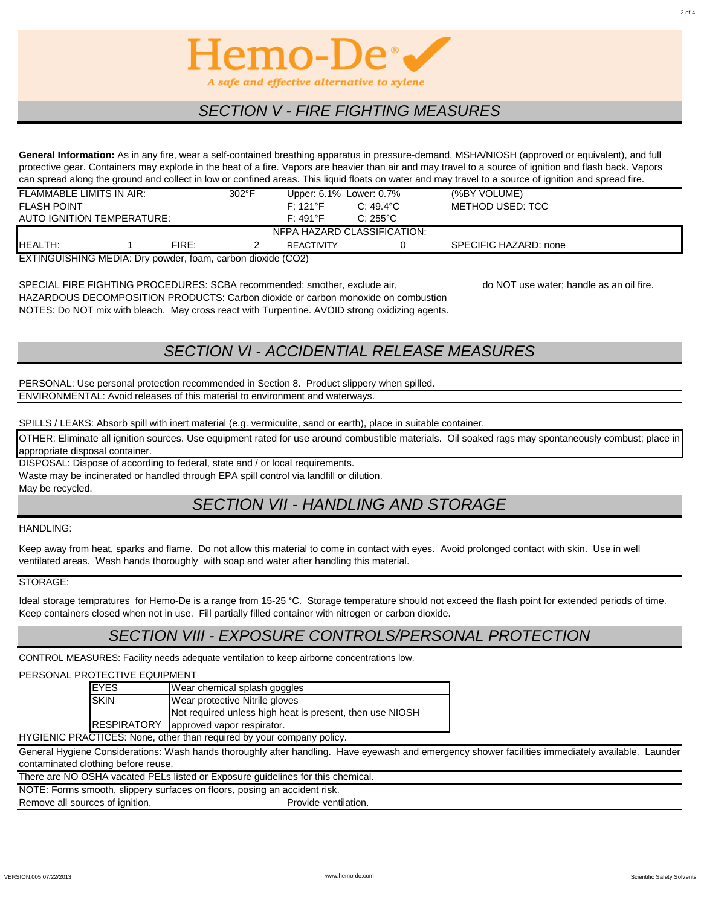

## *SECTION V - FIRE FIGHTING MEASURES*

**General Information:** As in any fire, wear a self-contained breathing apparatus in pressure-demand, MSHA/NIOSH (approved or equivalent), and full protective gear. Containers may explode in the heat of a fire. Vapors are heavier than air and may travel to a source of ignition and flash back. Vapors can spread along the ground and collect in low or confined areas. This liquid floats on water and may travel to a source of ignition and spread fire.

| FLAMMABLE LIMITS IN AIR:                                     |  |       | $302^{\circ}$ F | Upper: 6.1% Lower: 0.7% |                    | (%BY VOLUME)          |  |
|--------------------------------------------------------------|--|-------|-----------------|-------------------------|--------------------|-----------------------|--|
| <b>FLASH POINT</b>                                           |  |       |                 | $F: 121$ <sup>o</sup> F | $C: 49.4^{\circ}C$ | METHOD USED: TCC      |  |
| AUTO IGNITION TEMPERATURE:                                   |  |       |                 | $F: 491^{\circ}F$       | $C: 255^{\circ}C$  |                       |  |
| NEPA HAZARD CLASSIFICATION:                                  |  |       |                 |                         |                    |                       |  |
| HEALTH:                                                      |  | FIRE: |                 | <b>REACTIVITY</b>       |                    | SPECIFIC HAZARD: none |  |
| $EYTINCI IICHINIC MENI. Divonudor from carbon dioxide (CO3)$ |  |       |                 |                         |                    |                       |  |

EXTINGUISHING MEDIA: Dry powder, foam, carbon dioxide (CO2)

HAZARDOUS DECOMPOSITION PRODUCTS: Carbon dioxide or carbon monoxide on combustion NOTES: Do NOT mix with bleach. May cross react with Turpentine. AVOID strong oxidizing agents. SPECIAL FIRE FIGHTING PROCEDURES: SCBA recommended; smother, exclude air, do NOT use water; handle as an oil fire.

# *SECTION VI - ACCIDENTIAL RELEASE MEASURES*

ENVIRONMENTAL: Avoid releases of this material to environment and waterways. PERSONAL: Use personal protection recommended in Section 8. Product slippery when spilled.

SPILLS / LEAKS: Absorb spill with inert material (e.g. vermiculite, sand or earth), place in suitable container.

OTHER: Eliminate all ignition sources. Use equipment rated for use around combustible materials. Oil soaked rags may spontaneously combust; place in appropriate disposal container.

DISPOSAL: Dispose of according to federal, state and / or local requirements. Waste may be incinerated or handled through EPA spill control via landfill or dilution. May be recycled.

# *SECTION VII - HANDLING AND STORAGE*

#### HANDLING:

Keep away from heat, sparks and flame. Do not allow this material to come in contact with eyes. Avoid prolonged contact with skin. Use in well ventilated areas. Wash hands thoroughly with soap and water after handling this material.

#### STORAGE:

Ideal storage tempratures for Hemo-De is a range from 15-25 °C. Storage temperature should not exceed the flash point for extended periods of time. Keep containers closed when not in use. Fill partially filled container with nitrogen or carbon dioxide.

### *SECTION VIII - EXPOSURE CONTROLS/PERSONAL PROTECTION*

CONTROL MEASURES: Facility needs adequate ventilation to keep airborne concentrations low.

#### PERSONAL PROTECTIVE EQUIPMENT

| <b>EYES</b>                                                                                                                                                                | Wear chemical splash goggles                             |  |  |  |
|----------------------------------------------------------------------------------------------------------------------------------------------------------------------------|----------------------------------------------------------|--|--|--|
| <b>SKIN</b>                                                                                                                                                                | Wear protective Nitrile gloves                           |  |  |  |
|                                                                                                                                                                            | Not required unless high heat is present, then use NIOSH |  |  |  |
| <b>IRESPIRATORY</b>                                                                                                                                                        | approved vapor respirator.                               |  |  |  |
| $\mathsf{D}\Lambda\mathsf{O}\mathsf{T}$ ( $\mathsf{O}\mathsf{F}\mathsf{D}$ ). A lease to the set the set of section of the set of set of $\mathsf{S}$ (set of $\mathsf{S}$ |                                                          |  |  |  |

HYGIENIC PRACTICES: None, other than required by your company policy.

General Hygiene Considerations: Wash hands thoroughly after handling. Have eyewash and emergency shower facilities immediately available. Launder contaminated clothing before reuse.

There are NO OSHA vacated PELs listed or Exposure guidelines for this chemical.

NOTE: Forms smooth, slippery surfaces on floors, posing an accident risk.

Remove all sources of ignition. The contract of the extra provide ventilation.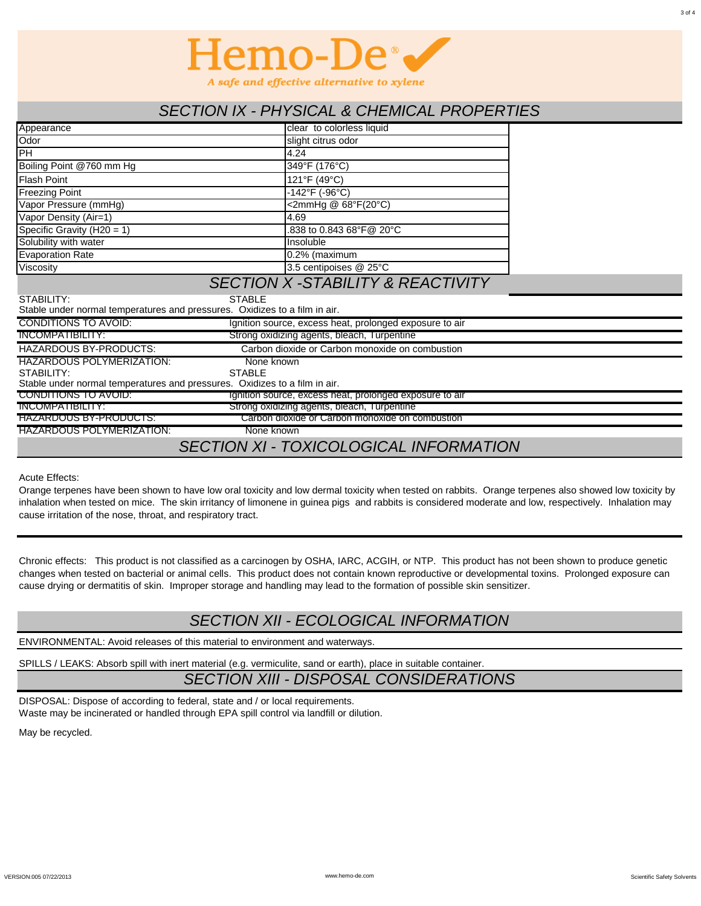

### *SECTION IX - PHYSICAL & CHEMICAL PROPERTIES*

| Appearance                                                                 | clear to colorless liquid                               |  |  |  |  |
|----------------------------------------------------------------------------|---------------------------------------------------------|--|--|--|--|
| Odor                                                                       | slight citrus odor                                      |  |  |  |  |
| PH                                                                         | 4.24                                                    |  |  |  |  |
| Boiling Point @760 mm Hg                                                   | 349°F (176°C)                                           |  |  |  |  |
| <b>Flash Point</b>                                                         | 121°F (49°C)                                            |  |  |  |  |
| <b>Freezing Point</b>                                                      | $-142^{\circ}$ F (-96°C)                                |  |  |  |  |
| Vapor Pressure (mmHg)                                                      | <2mmHg @ 68°F(20°C)                                     |  |  |  |  |
| Vapor Density (Air=1)                                                      | 4.69                                                    |  |  |  |  |
| Specific Gravity ( $H20 = 1$ )                                             | .838 to 0.843 68°F@ 20°C                                |  |  |  |  |
| Solubility with water                                                      | Insoluble                                               |  |  |  |  |
| <b>Evaporation Rate</b>                                                    | $0.2%$ (maximum                                         |  |  |  |  |
| <b>Viscosity</b>                                                           | 3.5 centipoises @ 25°C                                  |  |  |  |  |
| <b>SECTION X - STABILITY &amp; REACTIVITY</b>                              |                                                         |  |  |  |  |
| STABILITY:<br><b>STABLE</b>                                                |                                                         |  |  |  |  |
| Stable under normal temperatures and pressures. Oxidizes to a film in air. |                                                         |  |  |  |  |
| <b>CONDITIONS TO AVOID:</b>                                                | Ignition source, excess heat, prolonged exposure to air |  |  |  |  |
| <b>INCOMPATIBILITY:</b>                                                    | Strong oxidizing agents, bleach, Turpentine             |  |  |  |  |
| <b>HAZARDOUS BY-PRODUCTS:</b>                                              | Carbon dioxide or Carbon monoxide on combustion         |  |  |  |  |
| <b>HAZARDOUS POLYMERIZATION:</b><br>None known                             |                                                         |  |  |  |  |
| <b>STABLE</b><br>STABILITY:                                                |                                                         |  |  |  |  |
| Stable under normal temperatures and pressures. Oxidizes to a film in air. |                                                         |  |  |  |  |
| CONDITIONS TO AVOID:                                                       | Ignition source, excess heat, prolonged exposure to air |  |  |  |  |
| INCOMPATIBILITY:                                                           | Strong oxidizing agents, bleach, Turpentine             |  |  |  |  |
| HAZARDOUS BY-PRODUCTS:                                                     | Carbon dioxide or Carbon monoxide on combustion         |  |  |  |  |
| <b>HAZARDOUS POLYMERIZATION:</b><br>None known                             |                                                         |  |  |  |  |
|                                                                            | <b>SECTION XI - TOXICOLOGICAL INFORMATION</b>           |  |  |  |  |

Acute Effects:

Orange terpenes have been shown to have low oral toxicity and low dermal toxicity when tested on rabbits. Orange terpenes also showed low toxicity by inhalation when tested on mice. The skin irritancy of limonene in guinea pigs and rabbits is considered moderate and low, respectively. Inhalation may cause irritation of the nose, throat, and respiratory tract.

Chronic effects: This product is not classified as a carcinogen by OSHA, IARC, ACGIH, or NTP. This product has not been shown to produce genetic changes when tested on bacterial or animal cells. This product does not contain known reproductive or developmental toxins. Prolonged exposure can cause drying or dermatitis of skin. Improper storage and handling may lead to the formation of possible skin sensitizer.

# *SECTION XII - ECOLOGICAL INFORMATION*

ENVIRONMENTAL: Avoid releases of this material to environment and waterways.

SPILLS / LEAKS: Absorb spill with inert material (e.g. vermiculite, sand or earth), place in suitable container.

## *SECTION XIII - DISPOSAL CONSIDERATIONS*

DISPOSAL: Dispose of according to federal, state and / or local requirements. Waste may be incinerated or handled through EPA spill control via landfill or dilution.

May be recycled.